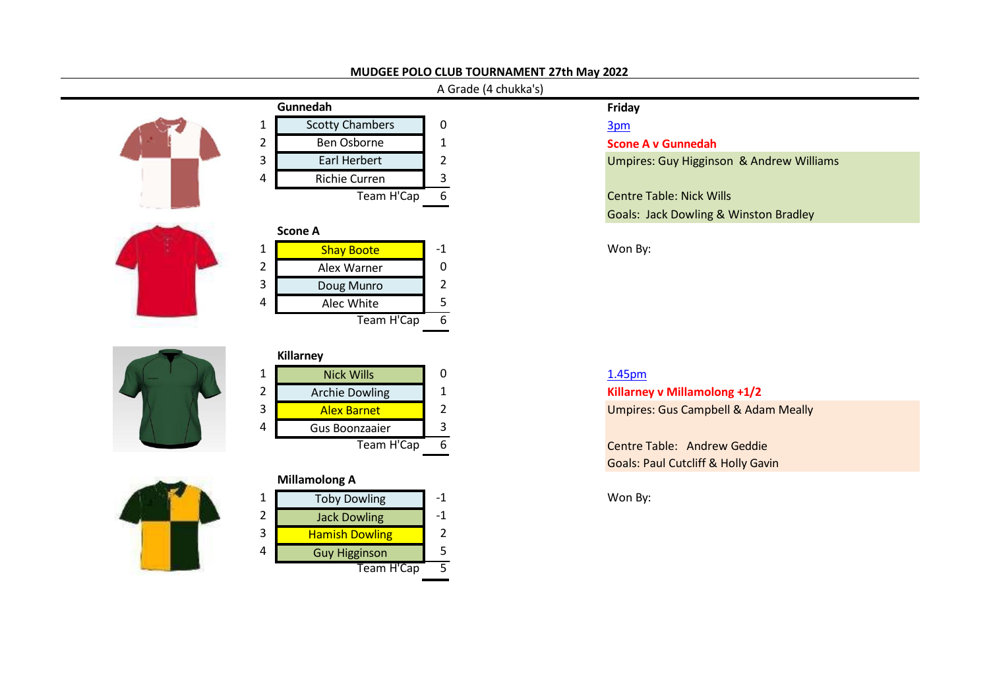

## **MUDGEE POLO CLUB TOURNAMENT 27th May 2022**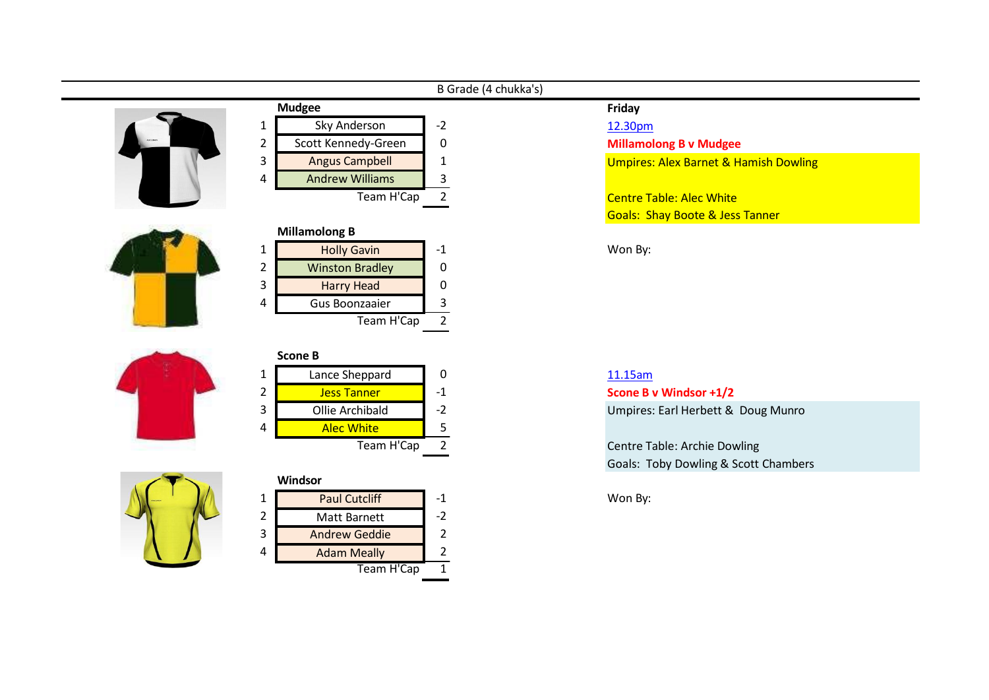